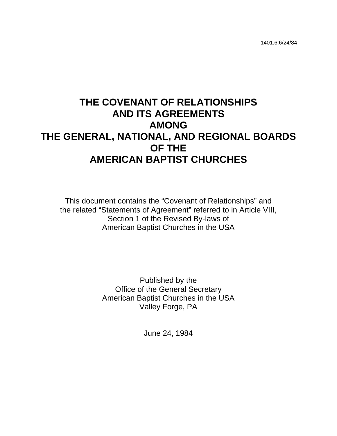# **THE COVENANT OF RELATIONSHIPS AND ITS AGREEMENTS AMONG THE GENERAL, NATIONAL, AND REGIONAL BOARDS OF THE AMERICAN BAPTIST CHURCHES**

This document contains the "Covenant of Relationships" and the related "Statements of Agreement" referred to in Article VIII, Section 1 of the Revised By-laws of American Baptist Churches in the USA

> Published by the Office of the General Secretary American Baptist Churches in the USA Valley Forge, PA

> > June 24, 1984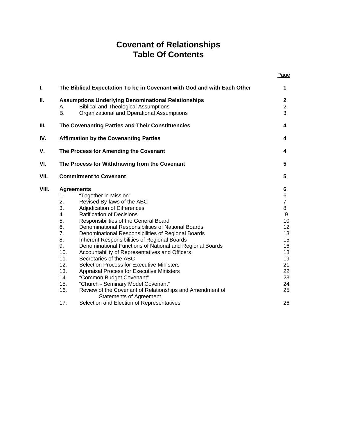## **Covenant of Relationships Table Of Contents**

|       |                   |                                                                                                                                                         | Page                               |
|-------|-------------------|---------------------------------------------------------------------------------------------------------------------------------------------------------|------------------------------------|
| I.    |                   | The Biblical Expectation To be in Covenant with God and with Each Other                                                                                 | 1                                  |
| П.    | Α.<br><b>B.</b>   | <b>Assumptions Underlying Denominational Relationships</b><br><b>Biblical and Theological Assumptions</b><br>Organizational and Operational Assumptions | $\mathbf 2$<br>$\overline{2}$<br>3 |
| Ш.    |                   | The Covenanting Parties and Their Constituencies                                                                                                        | 4                                  |
| IV.   |                   | <b>Affirmation by the Covenanting Parties</b>                                                                                                           | 4                                  |
| ۷.    |                   | The Process for Amending the Covenant                                                                                                                   | 4                                  |
| VI.   |                   | The Process for Withdrawing from the Covenant                                                                                                           | 5                                  |
| VII.  |                   | <b>Commitment to Covenant</b>                                                                                                                           | 5                                  |
| VIII. | <b>Agreements</b> |                                                                                                                                                         | 6                                  |
|       | 1.                | "Together in Mission"                                                                                                                                   | 6                                  |
|       | 2.                | Revised By-laws of the ABC                                                                                                                              | $\overline{7}$                     |
|       | 3.                | Adjudication of Differences                                                                                                                             | 8                                  |
|       | 4.                | <b>Ratification of Decisions</b>                                                                                                                        | $\boldsymbol{9}$                   |
|       | 5.                | Responsibilities of the General Board                                                                                                                   | 10                                 |
|       | 6.                | Denominational Responsibilities of National Boards                                                                                                      | 12                                 |
|       | 7.                | Denominational Responsibilities of Regional Boards                                                                                                      | 13                                 |
|       | 8.                | Inherent Responsibilities of Regional Boards                                                                                                            | 15                                 |
|       | 9.                | Denominational Functions of National and Regional Boards                                                                                                | 16                                 |
|       | 10.               | Accountability of Representatives and Officers                                                                                                          | 18                                 |
|       | 11.               | Secretaries of the ABC                                                                                                                                  | 19                                 |
|       | 12.               | <b>Selection Process for Executive Ministers</b>                                                                                                        | 21                                 |
|       | 13.               | Appraisal Process for Executive Ministers                                                                                                               | 22                                 |
|       | 14.               | "Common Budget Covenant"                                                                                                                                | 23                                 |
|       | 15.               | "Church - Seminary Model Covenant"                                                                                                                      | 24                                 |
|       | 16.               | Review of the Covenant of Relationships and Amendment of<br><b>Statements of Agreement</b>                                                              | 25                                 |
|       | 17.               | Selection and Election of Representatives                                                                                                               | 26                                 |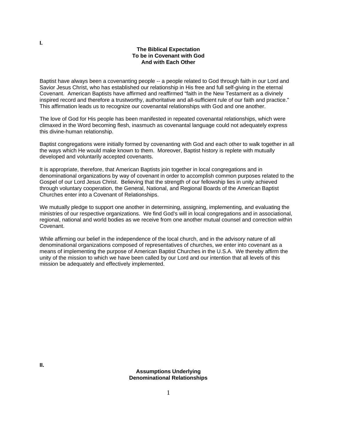#### **The Biblical Expectation To be in Covenant with God And with Each Other**

Baptist have always been a covenanting people -- a people related to God through faith in our Lord and Savior Jesus Christ, who has established our relationship in His free and full self-giving in the eternal Covenant. American Baptists have affirmed and reaffirmed "faith in the New Testament as a divinely inspired record and therefore a trustworthy, authoritative and all-sufficient rule of our faith and practice." This affirmation leads us to recognize our covenantal relationships with God and one another.

The love of God for His people has been manifested in repeated covenantal relationships, which were climaxed in the Word becoming flesh, inasmuch as covenantal language could not adequately express this divine-human relationship.

Baptist congregations were initially formed by covenanting with God and each other to walk together in all the ways which He would make known to them. Moreover, Baptist history is replete with mutually developed and voluntarily accepted covenants.

It is appropriate, therefore, that American Baptists join together in local congregations and in denominational organizations by way of covenant in order to accomplish common purposes related to the Gospel of our Lord Jesus Christ. Believing that the strength of our fellowship lies in unity achieved through voluntary cooperation, the General, National, and Regional Boards of the American Baptist Churches enter into a Covenant of Relationships.

We mutually pledge to support one another in determining, assigning, implementing, and evaluating the ministries of our respective organizations. We find God's will in local congregations and in associational, regional, national and world bodies as we receive from one another mutual counsel and correction within Covenant.

While affirming our belief in the independence of the local church, and in the advisory nature of all denominational organizations composed of representatives of churches, we enter into covenant as a means of implementing the purpose of American Baptist Churches in the U.S.A. We thereby affirm the unity of the mission to which we have been called by our Lord and our intention that all levels of this mission be adequately and effectively implemented.

> **Assumptions Underlying Denominational Relationships**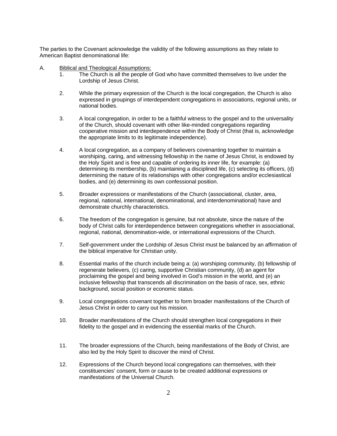The parties to the Covenant acknowledge the validity of the following assumptions as they relate to American Baptist denominational life:

- A. Biblical and Theological Assumptions:
	- 1. The Church is all the people of God who have committed themselves to live under the Lordship of Jesus Christ.
	- 2. While the primary expression of the Church is the local congregation, the Church is also expressed in groupings of interdependent congregations in associations, regional units, or national bodies.
	- 3. A local congregation, in order to be a faithful witness to the gospel and to the universality of the Church, should covenant with other like-minded congregations regarding cooperative mission and interdependence within the Body of Christ (that is, acknowledge the appropriate limits to its legitimate independence).
	- 4. A local congregation, as a company of believers covenanting together to maintain a worshiping, caring, and witnessing fellowship in the name of Jesus Christ, is endowed by the Holy Spirit and is free and capable of ordering its inner life, for example: (a) determining its membership, (b) maintaining a disciplined life, (c) selecting its officers, (d) determining the nature of its relationships with other congregations and/or ecclesiastical bodies, and (e) determining its own confessional position.
	- 5. Broader expressions or manifestations of the Church (associational, cluster, area, regional, national, international, denominational, and interdenominational) have and demonstrate churchly characteristics.
	- 6. The freedom of the congregation is genuine, but not absolute, since the nature of the body of Christ calls for interdependence between congregations whether in associational, regional, national, denomination-wide, or international expressions of the Church.
	- 7. Self-government under the Lordship of Jesus Christ must be balanced by an affirmation of the biblical imperative for Christian unity.
	- 8. Essential marks of the church include being a: (a) worshiping community, (b) fellowship of regenerate believers, (c) caring, supportive Christian community, (d) an agent for proclaiming the gospel and being involved in God's mission in the world, and (e) an inclusive fellowship that transcends all discrimination on the basis of race, sex, ethnic background, social position or economic status.
	- 9. Local congregations covenant together to form broader manifestations of the Church of Jesus Christ in order to carry out his mission.
	- 10. Broader manifestations of the Church should strengthen local congregations in their fidelity to the gospel and in evidencing the essential marks of the Church.
	- 11. The broader expressions of the Church, being manifestations of the Body of Christ, are also led by the Holy Spirit to discover the mind of Christ.
	- 12. Expressions of the Church beyond local congregations can themselves, with their constituencies' consent, form or cause to be created additional expressions or manifestations of the Universal Church.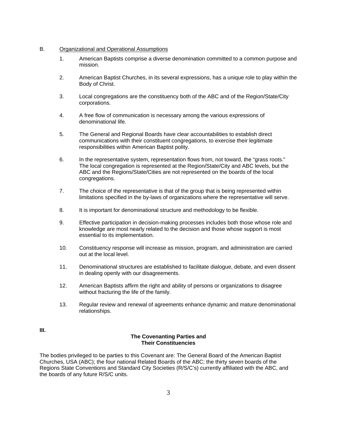#### B. Organizational and Operational Assumptions

- 1. American Baptists comprise a diverse denomination committed to a common purpose and mission.
- 2. American Baptist Churches, in its several expressions, has a unique role to play within the Body of Christ.
- 3. Local congregations are the constituency both of the ABC and of the Region/State/City corporations.
- 4. A free flow of communication is necessary among the various expressions of denominational life.
- 5. The General and Regional Boards have clear accountabilities to establish direct communications with their constituent congregations, to exercise their legitimate responsibilities within American Baptist polity.
- 6. In the representative system, representation flows from, not toward, the "grass roots." The local congregation is represented at the Region/State/City and ABC levels, but the ABC and the Regions/State/Cities are not represented on the boards of the local congregations.
- 7. The choice of the representative is that of the group that is being represented within limitations specified in the by-laws of organizations where the representative will serve.
- 8. It is important for denominational structure and methodology to be flexible.
- 9. Effective participation in decision-making processes includes both those whose role and knowledge are most nearly related to the decision and those whose support is most essential to its implementation.
- 10. Constituency response will increase as mission, program, and administration are carried out at the local level.
- 11. Denominational structures are established to facilitate dialogue, debate, and even dissent in dealing openly with our disagreements.
- 12. American Baptists affirm the right and ability of persons or organizations to disagree without fracturing the life of the family.
- 13. Regular review and renewal of agreements enhance dynamic and mature denominational relationships.

**III.** 

#### **The Covenanting Parties and Their Constituencies**

The bodies privileged to be parties to this Covenant are: The General Board of the American Baptist Churches, USA (ABC); the four national Related Boards of the ABC; the thirty seven boards of the Regions State Conventions and Standard City Societies (R/S/C's) currently affiliated with the ABC, and the boards of any future R/S/C units.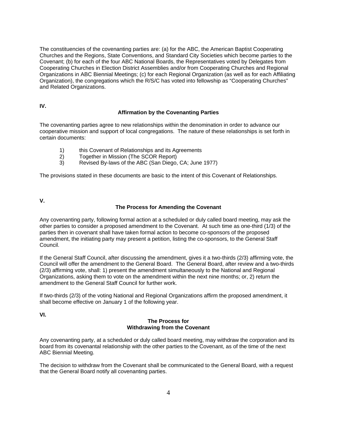The constituencies of the covenanting parties are: (a) for the ABC, the American Baptist Cooperating Churches and the Regions, State Conventions, and Standard City Societies which become parties to the Covenant; (b) for each of the four ABC National Boards, the Representatives voted by Delegates from Cooperating Churches in Election District Assemblies and/or from Cooperating Churches and Regional Organizations in ABC Biennial Meetings; (c) for each Regional Organization (as well as for each Affiliating Organization), the congregations which the R/S/C has voted into fellowship as "Cooperating Churches" and Related Organizations.

**IV.** 

#### **Affirmation by the Covenanting Parties**

The covenanting parties agree to new relationships within the denomination in order to advance our cooperative mission and support of local congregations. The nature of these relationships is set forth in certain documents:

- 1) this Covenant of Relationships and its Agreements
- 2) Together in Mission (The SCOR Report)
- 3) Revised By-laws of the ABC (San Diego, CA; June 1977)

The provisions stated in these documents are basic to the intent of this Covenant of Relationships.

**V.** 

#### **The Process for Amending the Covenant**

Any covenanting party, following formal action at a scheduled or duly called board meeting, may ask the other parties to consider a proposed amendment to the Covenant. At such time as one-third (1/3) of the parties then in covenant shall have taken formal action to become co-sponsors of the proposed amendment, the initiating party may present a petition, listing the co-sponsors, to the General Staff Council.

If the General Staff Council, after discussing the amendment, gives it a two-thirds (2/3) affirming vote, the Council will offer the amendment to the General Board. The General Board, after review and a two-thirds (2/3) affirming vote, shall: 1) present the amendment simultaneously to the National and Regional Organizations, asking them to vote on the amendment within the next nine months; or, 2) return the amendment to the General Staff Council for further work.

If two-thirds (2/3) of the voting National and Regional Organizations affirm the proposed amendment, it shall become effective on January 1 of the following year.

**VI.**

#### **The Process for Withdrawing from the Covenant**

Any covenanting party, at a scheduled or duly called board meeting, may withdraw the corporation and its board from its covenantal relationship with the other parties to the Covenant, as of the time of the next ABC Biennial Meeting.

The decision to withdraw from the Covenant shall be communicated to the General Board, with a request that the General Board notify all covenanting parties.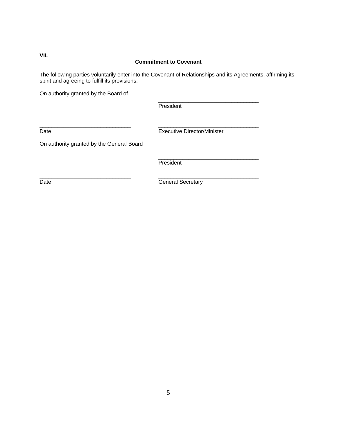### **Commitment to Covenant**

The following parties voluntarily enter into the Covenant of Relationships and its Agreements, affirming its spirit and agreeing to fulfill its provisions.

On authority granted by the Board of

**President** 

\_\_\_\_\_\_\_\_\_\_\_\_\_\_\_\_\_\_\_\_\_\_\_\_\_\_\_\_\_\_ \_\_\_\_\_\_\_\_\_\_\_\_\_\_\_\_\_\_\_\_\_\_\_\_\_\_\_\_\_\_\_\_\_

\_\_\_\_\_\_\_\_\_\_\_\_\_\_\_\_\_\_\_\_\_\_\_\_\_\_\_\_\_\_ \_\_\_\_\_\_\_\_\_\_\_\_\_\_\_\_\_\_\_\_\_\_\_\_\_\_\_\_\_\_\_\_\_

Date **Director/Minister** Executive Director/Minister

\_\_\_\_\_\_\_\_\_\_\_\_\_\_\_\_\_\_\_\_\_\_\_\_\_\_\_\_\_\_\_\_\_

On authority granted by the General Board

\_\_\_\_\_\_\_\_\_\_\_\_\_\_\_\_\_\_\_\_\_\_\_\_\_\_\_\_\_\_\_\_\_ **President** 

Date **Calculation Contract Contract Contract Contract Contract Contract Contract Contract Contract Contract Contract Contract Contract Contract Contract Contract Contract Contract Contract Contract Contract Contract Contra** 

**VII.**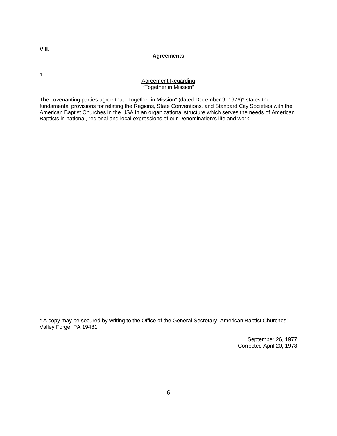**VIII.** 

#### **Agreements**

1.

\_\_\_\_\_\_\_\_\_\_\_\_\_\_

#### Agreement Regarding "Together in Mission"

The covenanting parties agree that "Together in Mission" (dated December 9, 1976)\* states the fundamental provisions for relating the Regions, State Conventions, and Standard City Societies with the American Baptist Churches in the USA in an organizational structure which serves the needs of American Baptists in national, regional and local expressions of our Denomination's life and work.

September 26, 1977 Corrected April 20, 1978

<sup>\*</sup> A copy may be secured by writing to the Office of the General Secretary, American Baptist Churches, Valley Forge, PA 19481.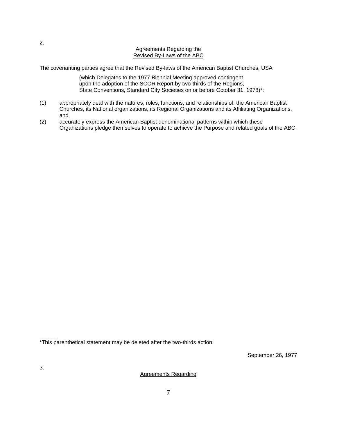#### Agreements Regarding the Revised By-Laws of the ABC

The covenanting parties agree that the Revised By-laws of the American Baptist Churches, USA

(which Delegates to the 1977 Biennial Meeting approved contingent upon the adoption of the SCOR Report by two-thirds of the Regions, State Conventions, Standard City Societies on or before October 31, 1978)\*:

- (1) appropriately deal with the natures, roles, functions, and relationships of: the American Baptist Churches, its National organizations, its Regional Organizations and its Affiliating Organizations, and
- (2) accurately express the American Baptist denominational patterns within which these Organizations pledge themselves to operate to achieve the Purpose and related goals of the ABC.

September 26, 1977

Agreements Regarding

\_\_\_\_\_\_ \*This parenthetical statement may be deleted after the two-thirds action.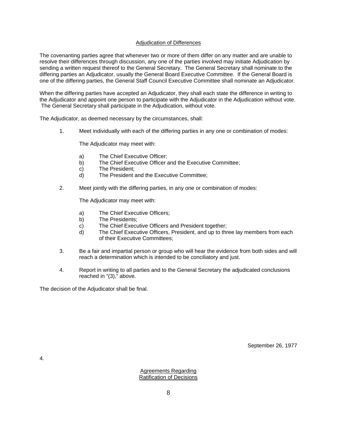#### Adjudication of Differences

The covenanting parties agree that whenever two or more of them differ on any matter and are unable to resolve their differences through discussion, any one of the parties involved may initiate Adjudication by sending a written request thereof to the General Secretary. The General Secretary shall nominate to the differing parties an Adjudicator, usually the General Board Executive Committee. If the General Board is one of the differing parties, the General Staff Council Executive Committee shall nominate an Adjudicator.

When the differing parties have accepted an Adjudicator, they shall each state the difference in writing to the Adjudicator and appoint one person to participate with the Adjudicator in the Adjudication without vote. The General Secretary shall participate in the Adjudication, without vote.

The Adjudicator, as deemed necessary by the circumstances, shall:

1. Meet individually with each of the differing parties in any one or combination of modes:

The Adjudicator may meet with:

- a) The Chief Executive Officer;
- b) The Chief Executive Officer and the Executive Committee;
- c) The President;
- d) The President and the Executive Committee;
- 2. Meet jointly with the differing parties, in any one or combination of modes:

The Adjudicator may meet with:

- a) The Chief Executive Officers;
- b) The Presidents;
- c) The Chief Executive Officers and President together;
- d) The Chief Executive Officers, President, and up to three lay members from each of their Executive Committees;
- 3. Be a fair and impartial person or group who will hear the evidence from both sides and will reach a determination which is intended to be conciliatory and just.
- 4. Report in writing to all parties and to the General Secretary the adjudicated conclusions reached in "(3)," above.

The decision of the Adjudicator shall be final.

September 26, 1977

4.

Agreements Regarding Ratification of Decisions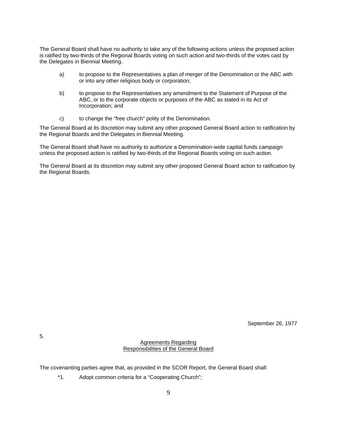The General Board shall have no authority to take any of the following actions unless the proposed action is ratified by two-thirds of the Regional Boards voting on such action and two-thirds of the votes cast by the Delegates in Biennial Meeting.

- a) to propose to the Representatives a plan of merger of the Denomination or the ABC with or into any other religious body or corporation;
- b) to propose to the Representatives any amendment to the Statement of Purpose of the ABC, or to the corporate objects or purposes of the ABC as stated in its Act of Incorporation; and
- c) to change the "free church" polity of the Denomination.

The General Board at its discretion may submit any other proposed General Board action to ratification by the Regional Boards and the Delegates in Biennial Meeting.

The General Board shall have no authority to authorize a Denomination-wide capital funds campaign unless the proposed action is ratified by two-thirds of the Regional Boards voting on such action.

The General Board at its discretion may submit any other proposed General Board action to ratification by the Regional Boards.

September 26, 1977

Agreements Regarding Responsibilities of the General Board

The covenanting parties agree that, as provided in the SCOR Report, the General Board shall:

\*1. Adopt common criteria for a "Cooperating Church";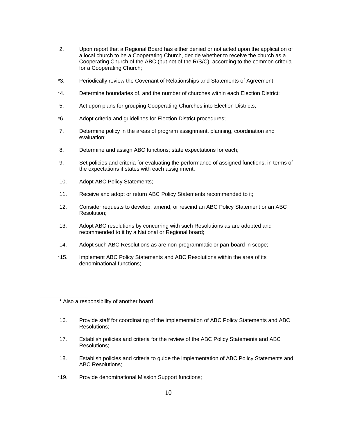- 2. Upon report that a Regional Board has either denied or not acted upon the application of a local church to be a Cooperating Church, decide whether to receive the church as a Cooperating Church of the ABC (but not of the R/S/C), according to the common criteria for a Cooperating Church;
- \*3. Periodically review the Covenant of Relationships and Statements of Agreement;
- \*4. Determine boundaries of, and the number of churches within each Election District;
- 5. Act upon plans for grouping Cooperating Churches into Election Districts;
- \*6. Adopt criteria and guidelines for Election District procedures;
- 7. Determine policy in the areas of program assignment, planning, coordination and evaluation;
- 8. Determine and assign ABC functions; state expectations for each;
- 9. Set policies and criteria for evaluating the performance of assigned functions, in terms of the expectations it states with each assignment;
- 10. Adopt ABC Policy Statements;
- 11. Receive and adopt or return ABC Policy Statements recommended to it;
- 12. Consider requests to develop, amend, or rescind an ABC Policy Statement or an ABC Resolution;
- 13. Adopt ABC resolutions by concurring with such Resolutions as are adopted and recommended to it by a National or Regional board;
- 14. Adopt such ABC Resolutions as are non-programmatic or pan-board in scope;
- \*15. Implement ABC Policy Statements and ABC Resolutions within the area of its denominational functions;

\_\_\_\_\_\_\_\_\_\_\_\_\_\_\_\_

- 16. Provide staff for coordinating of the implementation of ABC Policy Statements and ABC Resolutions;
- 17. Establish policies and criteria for the review of the ABC Policy Statements and ABC Resolutions;
- 18. Establish policies and criteria to guide the implementation of ABC Policy Statements and ABC Resolutions;
- \*19. Provide denominational Mission Support functions;

<sup>\*</sup> Also a responsibility of another board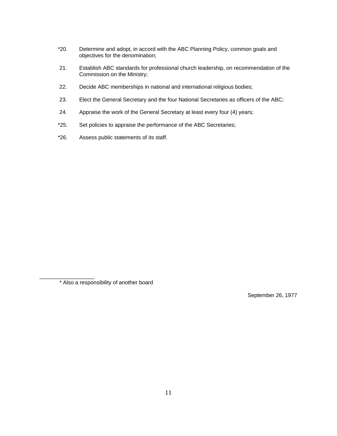- \*20. Determine and adopt, in accord with the ABC Planning Policy, common goals and objectives for the denomination;
- 21. Establish ABC standards for professional church leadership, on recommendation of the Commission on the Ministry;
- 22. Decide ABC memberships in national and international religious bodies;
- 23. Elect the General Secretary and the four National Secretaries as officers of the ABC;
- 24. Appraise the work of the General Secretary at least every four (4) years;
- \*25. Set policies to appraise the performance of the ABC Secretaries;
- \*26. Assess public statements of its staff.

\_\_\_\_\_\_\_\_\_\_\_\_\_\_\_\_\_\_

September 26, 1977

<sup>\*</sup> Also a responsibility of another board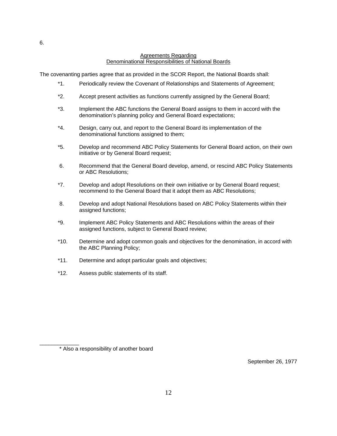#### Agreements Regarding Denominational Responsibilities of National Boards

The covenanting parties agree that as provided in the SCOR Report, the National Boards shall:

- \*1. Periodically review the Covenant of Relationships and Statements of Agreement;
- \*2. Accept present activities as functions currently assigned by the General Board;
- \*3. Implement the ABC functions the General Board assigns to them in accord with the denomination's planning policy and General Board expectations;
- \*4. Design, carry out, and report to the General Board its implementation of the denominational functions assigned to them;
- \*5. Develop and recommend ABC Policy Statements for General Board action, on their own initiative or by General Board request;
- 6. Recommend that the General Board develop, amend, or rescind ABC Policy Statements or ABC Resolutions;
- \*7. Develop and adopt Resolutions on their own initiative or by General Board request; recommend to the General Board that it adopt them as ABC Resolutions;
- 8. Develop and adopt National Resolutions based on ABC Policy Statements within their assigned functions;
- \*9. Implement ABC Policy Statements and ABC Resolutions within the areas of their assigned functions, subject to General Board review;
- \*10. Determine and adopt common goals and objectives for the denomination, in accord with the ABC Planning Policy;
- \*11. Determine and adopt particular goals and objectives;
- \*12. Assess public statements of its staff.

\_\_\_\_\_\_\_\_\_\_\_\_\_ \* Also a responsibility of another board

September 26, 1977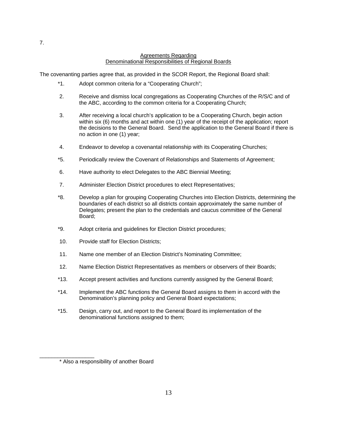#### Agreements Regarding Denominational Responsibilities of Regional Boards

The covenanting parties agree that, as provided in the SCOR Report, the Regional Board shall:

- \*1. Adopt common criteria for a "Cooperating Church";
- 2. Receive and dismiss local congregations as Cooperating Churches of the R/S/C and of the ABC, according to the common criteria for a Cooperating Church;
- 3. After receiving a local church's application to be a Cooperating Church, begin action within six (6) months and act within one (1) year of the receipt of the application; report the decisions to the General Board. Send the application to the General Board if there is no action in one (1) year;
- 4. Endeavor to develop a covenantal relationship with its Cooperating Churches;
- \*5. Periodically review the Covenant of Relationships and Statements of Agreement;
- 6. Have authority to elect Delegates to the ABC Biennial Meeting;
- 7. Administer Election District procedures to elect Representatives;
- \*8. Develop a plan for grouping Cooperating Churches into Election Districts, determining the boundaries of each district so all districts contain approximately the same number of Delegates; present the plan to the credentials and caucus committee of the General Board;
- \*9. Adopt criteria and guidelines for Election District procedures;
- 10. Provide staff for Election Districts;
- 11. Name one member of an Election District's Nominating Committee;
- 12. Name Election District Representatives as members or observers of their Boards;
- \*13. Accept present activities and functions currently assigned by the General Board;
- \*14. Implement the ABC functions the General Board assigns to them in accord with the Denomination's planning policy and General Board expectations;
- \*15. Design, carry out, and report to the General Board its implementation of the denominational functions assigned to them;

7.

\_\_\_\_\_\_\_\_\_\_\_\_\_\_\_\_\_\_

<sup>\*</sup> Also a responsibility of another Board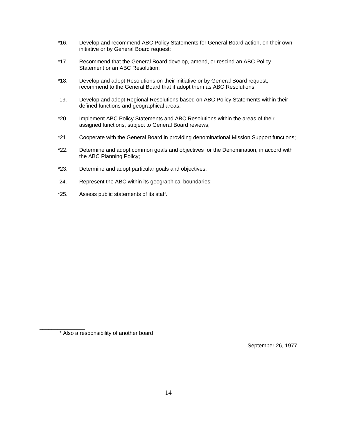- \*16. Develop and recommend ABC Policy Statements for General Board action, on their own initiative or by General Board request;
- \*17. Recommend that the General Board develop, amend, or rescind an ABC Policy Statement or an ABC Resolution;
- \*18. Develop and adopt Resolutions on their initiative or by General Board request; recommend to the General Board that it adopt them as ABC Resolutions;
- 19. Develop and adopt Regional Resolutions based on ABC Policy Statements within their defined functions and geographical areas;
- \*20. Implement ABC Policy Statements and ABC Resolutions within the areas of their assigned functions, subject to General Board reviews;
- \*21. Cooperate with the General Board in providing denominational Mission Support functions;
- \*22. Determine and adopt common goals and objectives for the Denomination, in accord with the ABC Planning Policy;
- \*23. Determine and adopt particular goals and objectives;
- 24. Represent the ABC within its geographical boundaries;
- \*25. Assess public statements of its staff.

\_\_\_\_\_\_\_\_\_\_\_\_\_\_\_

September 26, 1977

<sup>\*</sup> Also a responsibility of another board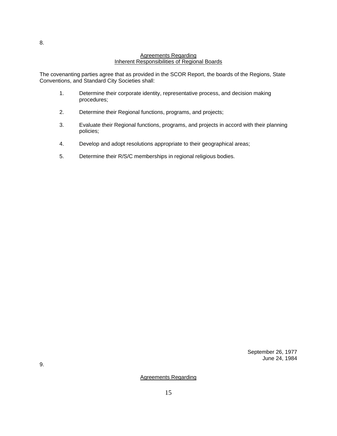#### Agreements Regarding Inherent Responsibilities of Regional Boards

The covenanting parties agree that as provided in the SCOR Report, the boards of the Regions, State Conventions, and Standard City Societies shall:

- 1. Determine their corporate identity, representative process, and decision making procedures;
- 2. Determine their Regional functions, programs, and projects;
- 3. Evaluate their Regional functions, programs, and projects in accord with their planning policies;
- 4. Develop and adopt resolutions appropriate to their geographical areas;
- 5. Determine their R/S/C memberships in regional religious bodies.

September 26, 1977 June 24, 1984

Agreements Regarding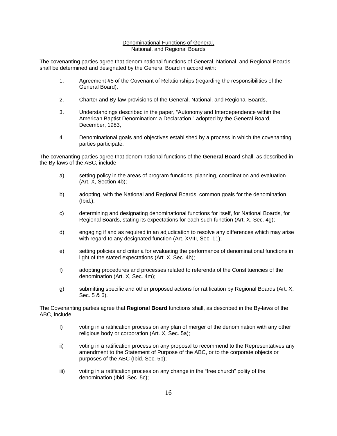#### Denominational Functions of General, National, and Regional Boards

The covenanting parties agree that denominational functions of General, National, and Regional Boards shall be determined and designated by the General Board in accord with:

- 1. Agreement #5 of the Covenant of Relationships (regarding the responsibilities of the General Board),
- 2. Charter and By-law provisions of the General, National, and Regional Boards,
- 3. Understandings described in the paper, "Autonomy and Interdependence within the American Baptist Denomination: a Declaration," adopted by the General Board, December, 1983,
- 4. Denominational goals and objectives established by a process in which the covenanting parties participate.

The covenanting parties agree that denominational functions of the **General Board** shall, as described in the By-laws of the ABC, include

- a) setting policy in the areas of program functions, planning, coordination and evaluation (Art. X, Section 4b);
- b) adopting, with the National and Regional Boards, common goals for the denomination (Ibid.);
- c) determining and designating denominational functions for itself, for National Boards, for Regional Boards, stating its expectations for each such function (Art. X, Sec. 4g);
- d) engaging if and as required in an adjudication to resolve any differences which may arise with regard to any designated function (Art. XVIII, Sec. 11);
- e) setting policies and criteria for evaluating the performance of denominational functions in light of the stated expectations (Art. X, Sec. 4h);
- f) adopting procedures and processes related to referenda of the Constituencies of the denomination (Art. X, Sec. 4m);
- g) submitting specific and other proposed actions for ratification by Regional Boards (Art. X, Sec. 5 & 6).

The Covenanting parties agree that **Regional Board** functions shall, as described in the By-laws of the ABC, include

- I) voting in a ratification process on any plan of merger of the denomination with any other religious body or corporation (Art. X, Sec. 5a);
- ii) voting in a ratification process on any proposal to recommend to the Representatives any amendment to the Statement of Purpose of the ABC, or to the corporate objects or purposes of the ABC (Ibid. Sec. 5b);
- iii) voting in a ratification process on any change in the "free church" polity of the denomination (Ibid. Sec. 5c);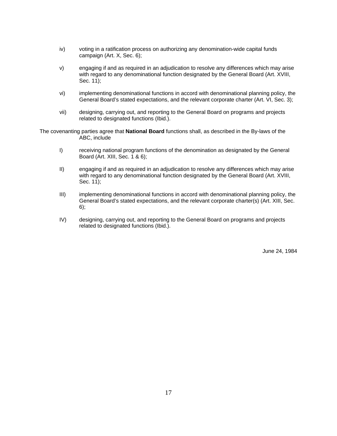- iv) voting in a ratification process on authorizing any denomination-wide capital funds campaign (Art. X, Sec. 6);
- v) engaging if and as required in an adjudication to resolve any differences which may arise with regard to any denominational function designated by the General Board (Art. XVIII, Sec. 11);
- vi) implementing denominational functions in accord with denominational planning policy, the General Board's stated expectations, and the relevant corporate charter (Art. VI, Sec. 3);
- vii) designing, carrying out, and reporting to the General Board on programs and projects related to designated functions (Ibid.).

The covenanting parties agree that **National Board** functions shall, as described in the By-laws of the ABC, include

- I) receiving national program functions of the denomination as designated by the General Board (Art. XIII, Sec. 1 & 6);
- II) engaging if and as required in an adjudication to resolve any differences which may arise with regard to any denominational function designated by the General Board (Art. XVIII, Sec. 11);
- III) implementing denominational functions in accord with denominational planning policy, the General Board's stated expectations, and the relevant corporate charter(s) (Art. XIII, Sec. 6);
- IV) designing, carrying out, and reporting to the General Board on programs and projects related to designated functions (Ibid.).

June 24, 1984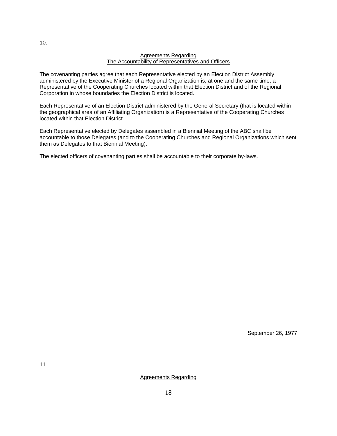#### Agreements Regarding The Accountability of Representatives and Officers

The covenanting parties agree that each Representative elected by an Election District Assembly administered by the Executive Minister of a Regional Organization is, at one and the same time, a Representative of the Cooperating Churches located within that Election District and of the Regional Corporation in whose boundaries the Election District is located.

Each Representative of an Election District administered by the General Secretary (that is located within the geographical area of an Affiliating Organization) is a Representative of the Cooperating Churches located within that Election District.

Each Representative elected by Delegates assembled in a Biennial Meeting of the ABC shall be accountable to those Delegates (and to the Cooperating Churches and Regional Organizations which sent them as Delegates to that Biennial Meeting).

The elected officers of covenanting parties shall be accountable to their corporate by-laws.

September 26, 1977

Agreements Regarding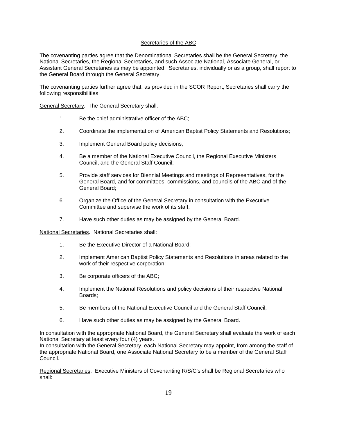#### Secretaries of the ABC

The covenanting parties agree that the Denominational Secretaries shall be the General Secretary, the National Secretaries, the Regional Secretaries, and such Associate National, Associate General, or Assistant General Secretaries as may be appointed. Secretaries, individually or as a group, shall report to the General Board through the General Secretary.

The covenanting parties further agree that, as provided in the SCOR Report, Secretaries shall carry the following responsibilities:

General Secretary. The General Secretary shall:

- 1. Be the chief administrative officer of the ABC;
- 2. Coordinate the implementation of American Baptist Policy Statements and Resolutions;
- 3. Implement General Board policy decisions;
- 4. Be a member of the National Executive Council, the Regional Executive Ministers Council, and the General Staff Council;
- 5. Provide staff services for Biennial Meetings and meetings of Representatives, for the General Board, and for committees, commissions, and councils of the ABC and of the General Board;
- 6. Organize the Office of the General Secretary in consultation with the Executive Committee and supervise the work of its staff;
- 7. Have such other duties as may be assigned by the General Board.

National Secretaries. National Secretaries shall:

- 1. Be the Executive Director of a National Board;
- 2. Implement American Baptist Policy Statements and Resolutions in areas related to the work of their respective corporation;
- 3. Be corporate officers of the ABC;
- 4. Implement the National Resolutions and policy decisions of their respective National Boards;
- 5. Be members of the National Executive Council and the General Staff Council;
- 6. Have such other duties as may be assigned by the General Board.

In consultation with the appropriate National Board, the General Secretary shall evaluate the work of each National Secretary at least every four (4) years.

In consultation with the General Secretary, each National Secretary may appoint, from among the staff of the appropriate National Board, one Associate National Secretary to be a member of the General Staff Council.

Regional Secretaries. Executive Ministers of Covenanting R/S/C's shall be Regional Secretaries who shall: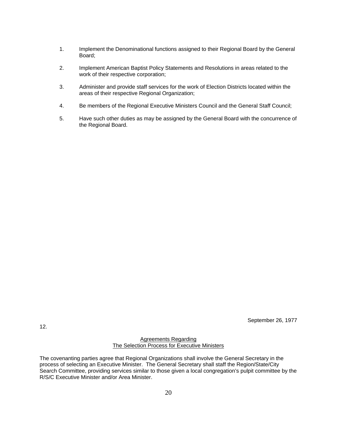- 1. Implement the Denominational functions assigned to their Regional Board by the General Board;
- 2. Implement American Baptist Policy Statements and Resolutions in areas related to the work of their respective corporation;
- 3. Administer and provide staff services for the work of Election Districts located within the areas of their respective Regional Organization;
- 4. Be members of the Regional Executive Ministers Council and the General Staff Council;
- 5. Have such other duties as may be assigned by the General Board with the concurrence of the Regional Board.

September 26, 1977

Agreements Regarding The Selection Process for Executive Ministers

12.

The covenanting parties agree that Regional Organizations shall involve the General Secretary in the process of selecting an Executive Minister. The General Secretary shall staff the Region/State/City Search Committee, providing services similar to those given a local congregation's pulpit committee by the R/S/C Executive Minister and/or Area Minister.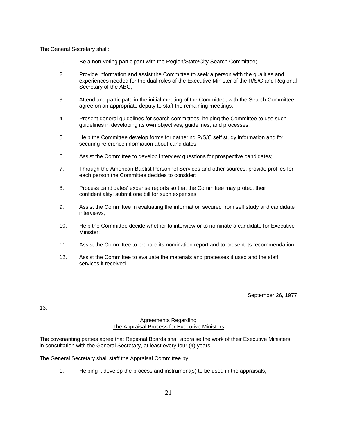The General Secretary shall:

- 1. Be a non-voting participant with the Region/State/City Search Committee;
- 2. Provide information and assist the Committee to seek a person with the qualities and experiences needed for the dual roles of the Executive Minister of the R/S/C and Regional Secretary of the ABC;
- 3. Attend and participate in the initial meeting of the Committee; with the Search Committee, agree on an appropriate deputy to staff the remaining meetings;
- 4. Present general guidelines for search committees, helping the Committee to use such guidelines in developing its own objectives, guidelines, and processes;
- 5. Help the Committee develop forms for gathering R/S/C self study information and for securing reference information about candidates;
- 6. Assist the Committee to develop interview questions for prospective candidates;
- 7. Through the American Baptist Personnel Services and other sources, provide profiles for each person the Committee decides to consider;
- 8. Process candidates' expense reports so that the Committee may protect their confidentiality; submit one bill for such expenses;
- 9. Assist the Committee in evaluating the information secured from self study and candidate interviews;
- 10. Help the Committee decide whether to interview or to nominate a candidate for Executive Minister;
- 11. Assist the Committee to prepare its nomination report and to present its recommendation;
- 12. Assist the Committee to evaluate the materials and processes it used and the staff services it received.

September 26, 1977

13.

#### Agreements Regarding The Appraisal Process for Executive Ministers

The covenanting parties agree that Regional Boards shall appraise the work of their Executive Ministers, in consultation with the General Secretary, at least every four (4) years.

The General Secretary shall staff the Appraisal Committee by:

1. Helping it develop the process and instrument(s) to be used in the appraisals;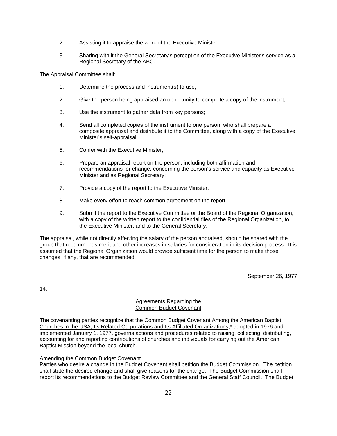- 2. Assisting it to appraise the work of the Executive Minister;
- 3. Sharing with it the General Secretary's perception of the Executive Minister's service as a Regional Secretary of the ABC.

The Appraisal Committee shall:

- 1. Determine the process and instrument(s) to use;
- 2. Give the person being appraised an opportunity to complete a copy of the instrument;
- 3. Use the instrument to gather data from key persons;
- 4. Send all completed copies of the instrument to one person, who shall prepare a composite appraisal and distribute it to the Committee, along with a copy of the Executive Minister's self-appraisal;
- 5. Confer with the Executive Minister;
- 6. Prepare an appraisal report on the person, including both affirmation and recommendations for change, concerning the person's service and capacity as Executive Minister and as Regional Secretary;
- 7. Provide a copy of the report to the Executive Minister;
- 8. Make every effort to reach common agreement on the report;
- 9. Submit the report to the Executive Committee or the Board of the Regional Organization; with a copy of the written report to the confidential files of the Regional Organization, to the Executive Minister, and to the General Secretary.

The appraisal, while not directly affecting the salary of the person appraised, should be shared with the group that recommends merit and other increases in salaries for consideration in its decision process. It is assumed that the Regional Organization would provide sufficient time for the person to make those changes, if any, that are recommended.

September 26, 1977

14.

#### Agreements Regarding the Common Budget Covenant

The covenanting parties recognize that the Common Budget Covenant Among the American Baptist Churches in the USA, Its Related Corporations and Its Affiliated Organizations,\* adopted in 1976 and implemented January 1, 1977, governs actions and procedures related to raising, collecting, distributing, accounting for and reporting contributions of churches and individuals for carrying out the American Baptist Mission beyond the local church.

#### Amending the Common Budget Covenant

Parties who desire a change in the Budget Covenant shall petition the Budget Commission. The petition shall state the desired change and shall give reasons for the change. The Budget Commission shall report its recommendations to the Budget Review Committee and the General Staff Council. The Budget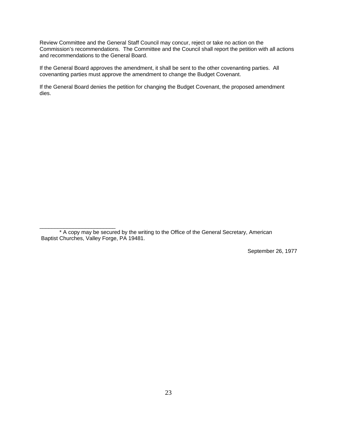Review Committee and the General Staff Council may concur, reject or take no action on the Commission's recommendations. The Committee and the Council shall report the petition with all actions and recommendations to the General Board.

If the General Board approves the amendment, it shall be sent to the other covenanting parties. All covenanting parties must approve the amendment to change the Budget Covenant.

If the General Board denies the petition for changing the Budget Covenant, the proposed amendment dies.

\_\_\_\_\_\_\_\_\_\_\_\_\_\_\_\_\_\_\_\_\_\_\_\_\_

September 26, 1977

<sup>\*</sup> A copy may be secured by the writing to the Office of the General Secretary, American Baptist Churches, Valley Forge, PA 19481.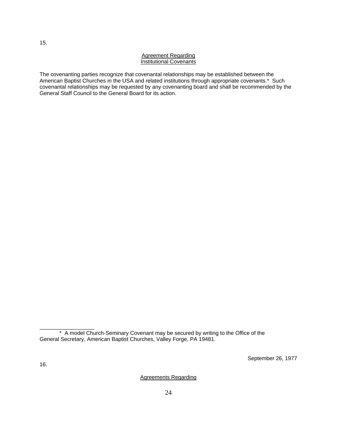#### Agreement Regarding Institutional Covenants

The covenanting parties recognize that covenantal relationships may be established between the American Baptist Churches in the USA and related institutions through appropriate covenants.\* Such covenantal relationships may be requested by any covenanting board and shall be recommended by the General Staff Council to the General Board for its action.

September 26, 1977

\_\_\_\_\_\_\_\_\_\_\_\_\_\_\_\_\_\_

Agreements Regarding

<sup>\*</sup> A model Church-Seminary Covenant may be secured by writing to the Office of the General Secretary, American Baptist Churches, Valley Forge, PA 19481.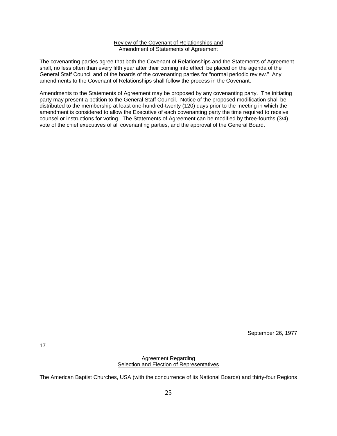#### Review of the Covenant of Relationships and Amendment of Statements of Agreement

The covenanting parties agree that both the Covenant of Relationships and the Statements of Agreement shall, no less often than every fifth year after their coming into effect, be placed on the agenda of the General Staff Council and of the boards of the covenanting parties for "normal periodic review." Any amendments to the Covenant of Relationships shall follow the process in the Covenant.

Amendments to the Statements of Agreement may be proposed by any covenanting party. The initiating party may present a petition to the General Staff Council. Notice of the proposed modification shall be distributed to the membership at least one-hundred-twenty (120) days prior to the meeting in which the amendment is considered to allow the Executive of each covenanting party the time required to receive counsel or instructions for voting. The Statements of Agreement can be modified by three-fourths (3/4) vote of the chief executives of all covenanting parties, and the approval of the General Board.

September 26, 1977

Agreement Regarding Selection and Election of Representatives

The American Baptist Churches, USA (with the concurrence of its National Boards) and thirty-four Regions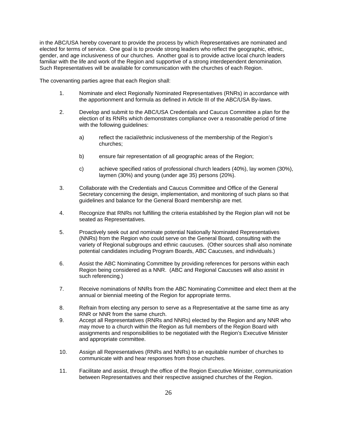in the ABC/USA hereby covenant to provide the process by which Representatives are nominated and elected for terms of service. One goal is to provide strong leaders who reflect the geographic, ethnic, gender, and age inclusiveness of our churches. Another goal is to provide active local church leaders familiar with the life and work of the Region and supportive of a strong interdependent denomination. Such Representatives will be available for communication with the churches of each Region.

The covenanting parties agree that each Region shall:

- 1. Nominate and elect Regionally Nominated Representatives (RNRs) in accordance with the apportionment and formula as defined in Article III of the ABC/USA By-laws.
- 2. Develop and submit to the ABC/USA Credentials and Caucus Committee a plan for the election of its RNRs which demonstrates compliance over a reasonable period of time with the following quidelines:
	- a) reflect the racial/ethnic inclusiveness of the membership of the Region's churches;
	- b) ensure fair representation of all geographic areas of the Region;
	- c) achieve specified ratios of professional church leaders (40%), lay women (30%), laymen (30%) and young (under age 35) persons (20%).
- 3. Collaborate with the Credentials and Caucus Committee and Office of the General Secretary concerning the design, implementation, and monitoring of such plans so that guidelines and balance for the General Board membership are met.
- 4. Recognize that RNRs not fulfilling the criteria established by the Region plan will not be seated as Representatives.
- 5. Proactively seek out and nominate potential Nationally Nominated Representatives (NNRs) from the Region who could serve on the General Board, consulting with the variety of Regional subgroups and ethnic caucuses. (Other sources shall also nominate potential candidates including Program Boards, ABC Caucuses, and individuals.)
- 6. Assist the ABC Nominating Committee by providing references for persons within each Region being considered as a NNR. (ABC and Regional Caucuses will also assist in such referencing.)
- 7. Receive nominations of NNRs from the ABC Nominating Committee and elect them at the annual or biennial meeting of the Region for appropriate terms.
- 8. Refrain from electing any person to serve as a Representative at the same time as any RNR or NNR from the same church.
- 9. Accept all Representatives (RNRs and NNRs) elected by the Region and any NNR who may move to a church within the Region as full members of the Region Board with assignments and responsibilities to be negotiated with the Region's Executive Minister and appropriate committee.
- 10. Assign all Representatives (RNRs and NNRs) to an equitable number of churches to communicate with and hear responses from those churches.
- 11. Facilitate and assist, through the office of the Region Executive Minister, communication between Representatives and their respective assigned churches of the Region.